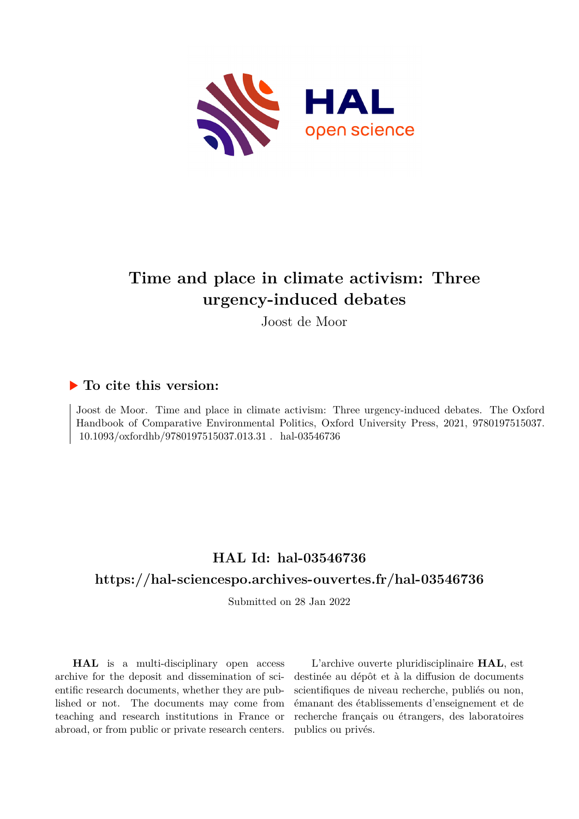

# **Time and place in climate activism: Three urgency-induced debates**

Joost de Moor

### **To cite this version:**

Joost de Moor. Time and place in climate activism: Three urgency-induced debates. The Oxford Handbook of Comparative Environmental Politics, Oxford University Press, 2021, 9780197515037.  $10.1093/\mathrm{ox}$ fordhb/9780197515037.013.31 . hal-03546736

## **HAL Id: hal-03546736**

## **<https://hal-sciencespo.archives-ouvertes.fr/hal-03546736>**

Submitted on 28 Jan 2022

**HAL** is a multi-disciplinary open access archive for the deposit and dissemination of scientific research documents, whether they are published or not. The documents may come from teaching and research institutions in France or abroad, or from public or private research centers.

L'archive ouverte pluridisciplinaire **HAL**, est destinée au dépôt et à la diffusion de documents scientifiques de niveau recherche, publiés ou non, émanant des établissements d'enseignement et de recherche français ou étrangers, des laboratoires publics ou privés.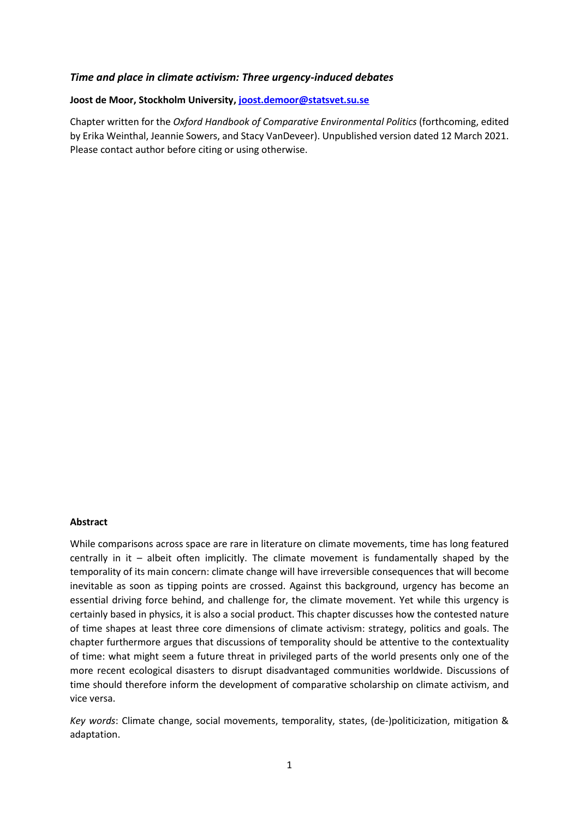#### *Time and place in climate activism: Three urgency-induced debates*

#### **Joost de Moor, Stockholm University[, joost.demoor@statsvet.su.se](mailto:joost.demoor@statsvet.su.se)**

Chapter written for the *Oxford Handbook of Comparative Environmental Politics* (forthcoming, edited by Erika Weinthal, Jeannie Sowers, and Stacy VanDeveer). Unpublished version dated 12 March 2021. Please contact author before citing or using otherwise.

#### **Abstract**

While comparisons across space are rare in literature on climate movements, time has long featured centrally in it – albeit often implicitly. The climate movement is fundamentally shaped by the temporality of its main concern: climate change will have irreversible consequences that will become inevitable as soon as tipping points are crossed. Against this background, urgency has become an essential driving force behind, and challenge for, the climate movement. Yet while this urgency is certainly based in physics, it is also a social product. This chapter discusses how the contested nature of time shapes at least three core dimensions of climate activism: strategy, politics and goals. The chapter furthermore argues that discussions of temporality should be attentive to the contextuality of time: what might seem a future threat in privileged parts of the world presents only one of the more recent ecological disasters to disrupt disadvantaged communities worldwide. Discussions of time should therefore inform the development of comparative scholarship on climate activism, and vice versa.

*Key words*: Climate change, social movements, temporality, states, (de-)politicization, mitigation & adaptation.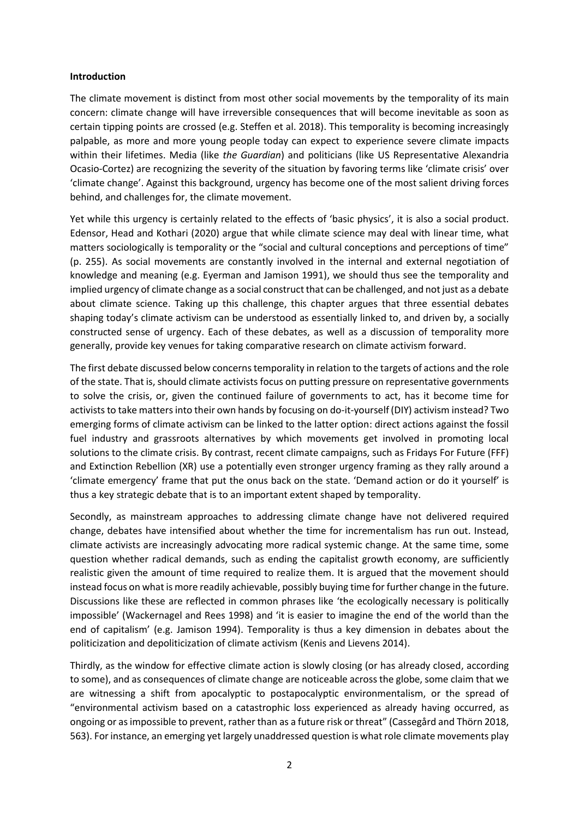#### **Introduction**

The climate movement is distinct from most other social movements by the temporality of its main concern: climate change will have irreversible consequences that will become inevitable as soon as certain tipping points are crossed (e.g. Steffen et al. 2018). This temporality is becoming increasingly palpable, as more and more young people today can expect to experience severe climate impacts within their lifetimes. Media (like *the Guardian*) and politicians (like US Representative Alexandria Ocasio-Cortez) are recognizing the severity of the situation by favoring terms like 'climate crisis' over 'climate change'. Against this background, urgency has become one of the most salient driving forces behind, and challenges for, the climate movement.

Yet while this urgency is certainly related to the effects of 'basic physics', it is also a social product. Edensor, Head and Kothari (2020) argue that while climate science may deal with linear time, what matters sociologically is temporality or the "social and cultural conceptions and perceptions of time" (p. 255). As social movements are constantly involved in the internal and external negotiation of knowledge and meaning (e.g. Eyerman and Jamison 1991), we should thus see the temporality and implied urgency of climate change as a social construct that can be challenged, and not just as a debate about climate science. Taking up this challenge, this chapter argues that three essential debates shaping today's climate activism can be understood as essentially linked to, and driven by, a socially constructed sense of urgency. Each of these debates, as well as a discussion of temporality more generally, provide key venues for taking comparative research on climate activism forward.

The first debate discussed below concernstemporality in relation to the targets of actions and the role of the state. That is, should climate activists focus on putting pressure on representative governments to solve the crisis, or, given the continued failure of governments to act, has it become time for activists to take matters into their own hands by focusing on do-it-yourself (DIY) activism instead? Two emerging forms of climate activism can be linked to the latter option: direct actions against the fossil fuel industry and grassroots alternatives by which movements get involved in promoting local solutions to the climate crisis. By contrast, recent climate campaigns, such as Fridays For Future (FFF) and Extinction Rebellion (XR) use a potentially even stronger urgency framing as they rally around a 'climate emergency' frame that put the onus back on the state. 'Demand action or do it yourself' is thus a key strategic debate that is to an important extent shaped by temporality.

Secondly, as mainstream approaches to addressing climate change have not delivered required change, debates have intensified about whether the time for incrementalism has run out. Instead, climate activists are increasingly advocating more radical systemic change. At the same time, some question whether radical demands, such as ending the capitalist growth economy, are sufficiently realistic given the amount of time required to realize them. It is argued that the movement should instead focus on what is more readily achievable, possibly buying time for further change in the future. Discussions like these are reflected in common phrases like 'the ecologically necessary is politically impossible' (Wackernagel and Rees 1998) and 'it is easier to imagine the end of the world than the end of capitalism' (e.g. Jamison 1994). Temporality is thus a key dimension in debates about the politicization and depoliticization of climate activism (Kenis and Lievens 2014).

Thirdly, as the window for effective climate action is slowly closing (or has already closed, according to some), and as consequences of climate change are noticeable across the globe, some claim that we are witnessing a shift from apocalyptic to postapocalyptic environmentalism, or the spread of "environmental activism based on a catastrophic loss experienced as already having occurred, as ongoing or as impossible to prevent, rather than as a future risk or threat" (Cassegård and Thörn 2018, 563). For instance, an emerging yet largely unaddressed question is what role climate movements play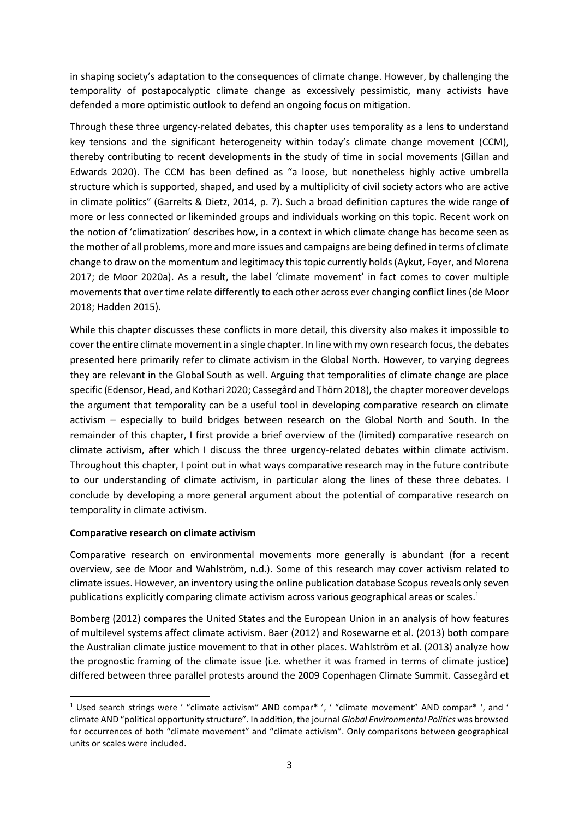in shaping society's adaptation to the consequences of climate change. However, by challenging the temporality of postapocalyptic climate change as excessively pessimistic, many activists have defended a more optimistic outlook to defend an ongoing focus on mitigation.

Through these three urgency-related debates, this chapter uses temporality as a lens to understand key tensions and the significant heterogeneity within today's climate change movement (CCM), thereby contributing to recent developments in the study of time in social movements (Gillan and Edwards 2020). The CCM has been defined as "a loose, but nonetheless highly active umbrella structure which is supported, shaped, and used by a multiplicity of civil society actors who are active in climate politics" (Garrelts & Dietz, 2014, p. 7). Such a broad definition captures the wide range of more or less connected or likeminded groups and individuals working on this topic. Recent work on the notion of 'climatization' describes how, in a context in which climate change has become seen as the mother of all problems, more and more issues and campaigns are being defined in terms of climate change to draw on the momentum and legitimacy this topic currently holds (Aykut, Foyer, and Morena 2017; de Moor 2020a). As a result, the label 'climate movement' in fact comes to cover multiple movements that over time relate differently to each other across ever changing conflict lines (de Moor 2018; Hadden 2015).

While this chapter discusses these conflicts in more detail, this diversity also makes it impossible to cover the entire climate movement in a single chapter. In line with my own research focus, the debates presented here primarily refer to climate activism in the Global North. However, to varying degrees they are relevant in the Global South as well. Arguing that temporalities of climate change are place specific (Edensor, Head, and Kothari 2020; Cassegård and Thörn 2018), the chapter moreover develops the argument that temporality can be a useful tool in developing comparative research on climate activism – especially to build bridges between research on the Global North and South. In the remainder of this chapter, I first provide a brief overview of the (limited) comparative research on climate activism, after which I discuss the three urgency-related debates within climate activism. Throughout this chapter, I point out in what ways comparative research may in the future contribute to our understanding of climate activism, in particular along the lines of these three debates. I conclude by developing a more general argument about the potential of comparative research on temporality in climate activism.

#### **Comparative research on climate activism**

**.** 

Comparative research on environmental movements more generally is abundant (for a recent overview, see de Moor and Wahlström, n.d.). Some of this research may cover activism related to climate issues. However, an inventory using the online publication database Scopus reveals only seven publications explicitly comparing climate activism across various geographical areas or scales. 1

Bomberg (2012) compares the United States and the European Union in an analysis of how features of multilevel systems affect climate activism. Baer (2012) and Rosewarne et al. (2013) both compare the Australian climate justice movement to that in other places. Wahlström et al. (2013) analyze how the prognostic framing of the climate issue (i.e. whether it was framed in terms of climate justice) differed between three parallel protests around the 2009 Copenhagen Climate Summit. Cassegård et

<sup>1</sup> Used search strings were ' "climate activism" AND compar\* ', ' "climate movement" AND compar\* ', and ' climate AND "political opportunity structure". In addition, the journal *Global Environmental Politics* was browsed for occurrences of both "climate movement" and "climate activism". Only comparisons between geographical units or scales were included.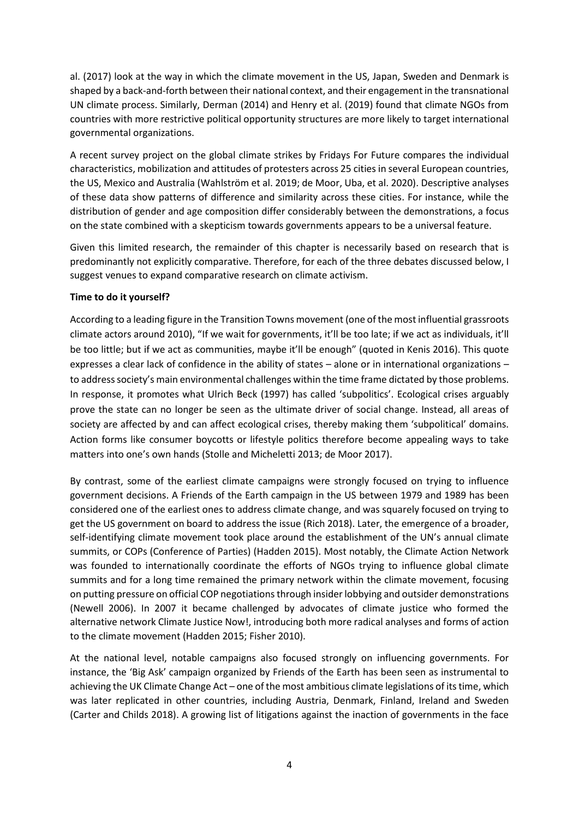al. (2017) look at the way in which the climate movement in the US, Japan, Sweden and Denmark is shaped by a back-and-forth between their national context, and their engagement in the transnational UN climate process. Similarly, Derman (2014) and Henry et al. (2019) found that climate NGOs from countries with more restrictive political opportunity structures are more likely to target international governmental organizations.

A recent survey project on the global climate strikes by Fridays For Future compares the individual characteristics, mobilization and attitudes of protesters across 25 cities in several European countries, the US, Mexico and Australia (Wahlström et al. 2019; de Moor, Uba, et al. 2020). Descriptive analyses of these data show patterns of difference and similarity across these cities. For instance, while the distribution of gender and age composition differ considerably between the demonstrations, a focus on the state combined with a skepticism towards governments appears to be a universal feature.

Given this limited research, the remainder of this chapter is necessarily based on research that is predominantly not explicitly comparative. Therefore, for each of the three debates discussed below, I suggest venues to expand comparative research on climate activism.

#### **Time to do it yourself?**

According to a leading figure in the Transition Towns movement (one of the most influential grassroots climate actors around 2010), "If we wait for governments, it'll be too late; if we act as individuals, it'll be too little; but if we act as communities, maybe it'll be enough" (quoted in Kenis 2016). This quote expresses a clear lack of confidence in the ability of states – alone or in international organizations – to address society's main environmental challenges within the time frame dictated by those problems. In response, it promotes what Ulrich Beck (1997) has called 'subpolitics'. Ecological crises arguably prove the state can no longer be seen as the ultimate driver of social change. Instead, all areas of society are affected by and can affect ecological crises, thereby making them 'subpolitical' domains. Action forms like consumer boycotts or lifestyle politics therefore become appealing ways to take matters into one's own hands (Stolle and Micheletti 2013; de Moor 2017).

By contrast, some of the earliest climate campaigns were strongly focused on trying to influence government decisions. A Friends of the Earth campaign in the US between 1979 and 1989 has been considered one of the earliest ones to address climate change, and was squarely focused on trying to get the US government on board to address the issue (Rich 2018). Later, the emergence of a broader, self-identifying climate movement took place around the establishment of the UN's annual climate summits, or COPs (Conference of Parties) (Hadden 2015). Most notably, the Climate Action Network was founded to internationally coordinate the efforts of NGOs trying to influence global climate summits and for a long time remained the primary network within the climate movement, focusing on putting pressure on official COP negotiations through insider lobbying and outsider demonstrations (Newell 2006). In 2007 it became challenged by advocates of climate justice who formed the alternative network Climate Justice Now!, introducing both more radical analyses and forms of action to the climate movement (Hadden 2015; Fisher 2010).

At the national level, notable campaigns also focused strongly on influencing governments. For instance, the 'Big Ask' campaign organized by Friends of the Earth has been seen as instrumental to achieving the UK Climate Change Act – one of the most ambitious climate legislations of its time, which was later replicated in other countries, including Austria, Denmark, Finland, Ireland and Sweden (Carter and Childs 2018). A growing list of litigations against the inaction of governments in the face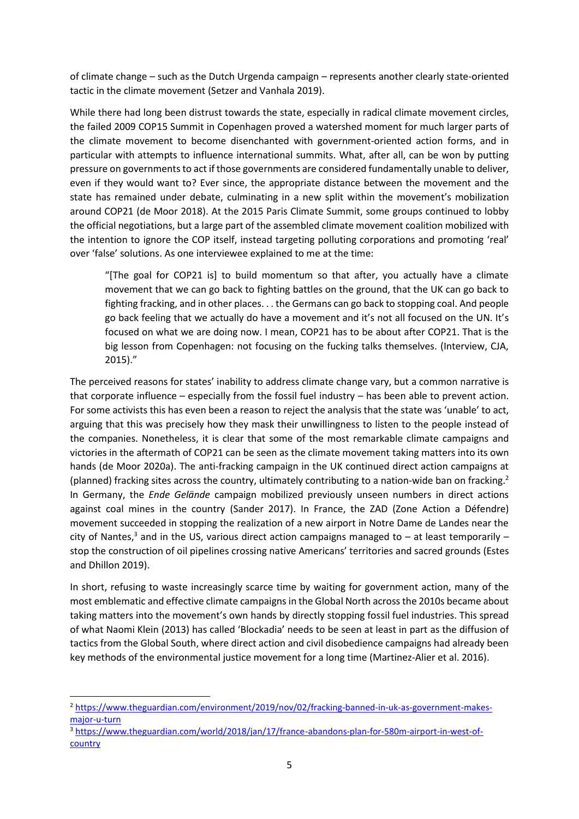of climate change – such as the Dutch Urgenda campaign – represents another clearly state-oriented tactic in the climate movement (Setzer and Vanhala 2019).

While there had long been distrust towards the state, especially in radical climate movement circles, the failed 2009 COP15 Summit in Copenhagen proved a watershed moment for much larger parts of the climate movement to become disenchanted with government-oriented action forms, and in particular with attempts to influence international summits. What, after all, can be won by putting pressure on governments to act if those governments are considered fundamentally unable to deliver, even if they would want to? Ever since, the appropriate distance between the movement and the state has remained under debate, culminating in a new split within the movement's mobilization around COP21 (de Moor 2018). At the 2015 Paris Climate Summit, some groups continued to lobby the official negotiations, but a large part of the assembled climate movement coalition mobilized with the intention to ignore the COP itself, instead targeting polluting corporations and promoting 'real' over 'false' solutions. As one interviewee explained to me at the time:

"[The goal for COP21 is] to build momentum so that after, you actually have a climate movement that we can go back to fighting battles on the ground, that the UK can go back to fighting fracking, and in other places. . . the Germans can go back to stopping coal. And people go back feeling that we actually do have a movement and it's not all focused on the UN. It's focused on what we are doing now. I mean, COP21 has to be about after COP21. That is the big lesson from Copenhagen: not focusing on the fucking talks themselves. (Interview, CJA, 2015)."

The perceived reasons for states' inability to address climate change vary, but a common narrative is that corporate influence – especially from the fossil fuel industry – has been able to prevent action. For some activists this has even been a reason to reject the analysis that the state was 'unable' to act, arguing that this was precisely how they mask their unwillingness to listen to the people instead of the companies. Nonetheless, it is clear that some of the most remarkable climate campaigns and victories in the aftermath of COP21 can be seen as the climate movement taking matters into its own hands (de Moor 2020a). The anti-fracking campaign in the UK continued direct action campaigns at (planned) fracking sites across the country, ultimately contributing to a nation-wide ban on fracking.<sup>2</sup> In Germany, the *Ende Gelände* campaign mobilized previously unseen numbers in direct actions against coal mines in the country (Sander 2017). In France, the ZAD (Zone Action a Défendre) movement succeeded in stopping the realization of a new airport in Notre Dame de Landes near the city of Nantes,<sup>3</sup> and in the US, various direct action campaigns managed to  $-$  at least temporarily  $$ stop the construction of oil pipelines crossing native Americans' territories and sacred grounds (Estes and Dhillon 2019).

In short, refusing to waste increasingly scarce time by waiting for government action, many of the most emblematic and effective climate campaigns in the Global North across the 2010s became about taking matters into the movement's own hands by directly stopping fossil fuel industries. This spread of what Naomi Klein (2013) has called 'Blockadia' needs to be seen at least in part as the diffusion of tactics from the Global South, where direct action and civil disobedience campaigns had already been key methods of the environmental justice movement for a long time (Martinez-Alier et al. 2016).

**.** 

<sup>2</sup> [https://www.theguardian.com/environment/2019/nov/02/fracking-banned-in-uk-as-government-makes](https://www.theguardian.com/environment/2019/nov/02/fracking-banned-in-uk-as-government-makes-major-u-turn)[major-u-turn](https://www.theguardian.com/environment/2019/nov/02/fracking-banned-in-uk-as-government-makes-major-u-turn)

<sup>3</sup> [https://www.theguardian.com/world/2018/jan/17/france-abandons-plan-for-580m-airport-in-west-of](https://www.theguardian.com/world/2018/jan/17/france-abandons-plan-for-580m-airport-in-west-of-country)**[country](https://www.theguardian.com/world/2018/jan/17/france-abandons-plan-for-580m-airport-in-west-of-country)**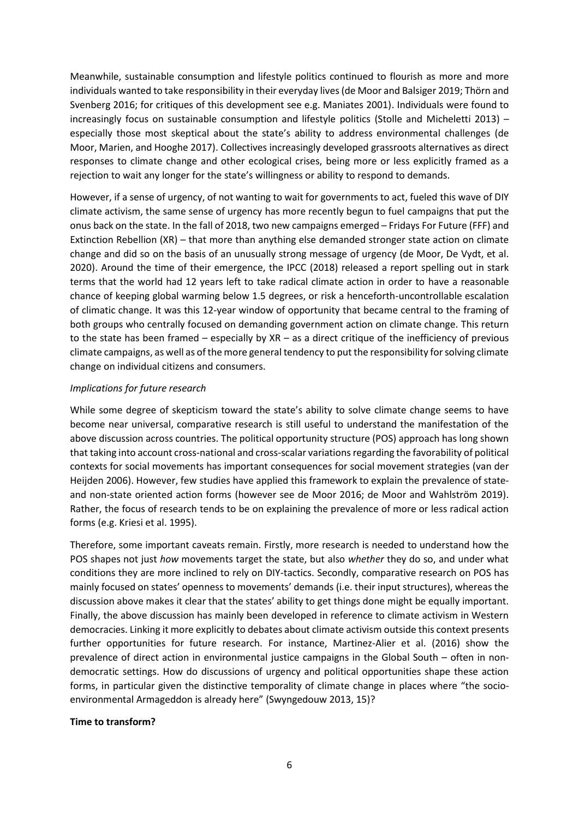Meanwhile, sustainable consumption and lifestyle politics continued to flourish as more and more individuals wanted to take responsibility in their everyday lives(de Moor and Balsiger 2019; Thörn and Svenberg 2016; for critiques of this development see e.g. Maniates 2001). Individuals were found to increasingly focus on sustainable consumption and lifestyle politics (Stolle and Micheletti 2013) – especially those most skeptical about the state's ability to address environmental challenges (de Moor, Marien, and Hooghe 2017). Collectives increasingly developed grassroots alternatives as direct responses to climate change and other ecological crises, being more or less explicitly framed as a rejection to wait any longer for the state's willingness or ability to respond to demands.

However, if a sense of urgency, of not wanting to wait for governments to act, fueled this wave of DIY climate activism, the same sense of urgency has more recently begun to fuel campaigns that put the onus back on the state. In the fall of 2018, two new campaigns emerged – Fridays For Future (FFF) and Extinction Rebellion (XR) – that more than anything else demanded stronger state action on climate change and did so on the basis of an unusually strong message of urgency (de Moor, De Vydt, et al. 2020). Around the time of their emergence, the IPCC (2018) released a report spelling out in stark terms that the world had 12 years left to take radical climate action in order to have a reasonable chance of keeping global warming below 1.5 degrees, or risk a henceforth-uncontrollable escalation of climatic change. It was this 12-year window of opportunity that became central to the framing of both groups who centrally focused on demanding government action on climate change. This return to the state has been framed – especially by XR – as a direct critique of the inefficiency of previous climate campaigns, as well as of the more general tendency to put the responsibility for solving climate change on individual citizens and consumers.

#### *Implications for future research*

While some degree of skepticism toward the state's ability to solve climate change seems to have become near universal, comparative research is still useful to understand the manifestation of the above discussion across countries. The political opportunity structure (POS) approach has long shown that taking into account cross-national and cross-scalar variations regarding the favorability of political contexts for social movements has important consequences for social movement strategies (van der Heijden 2006). However, few studies have applied this framework to explain the prevalence of stateand non-state oriented action forms (however see de Moor 2016; de Moor and Wahlström 2019). Rather, the focus of research tends to be on explaining the prevalence of more or less radical action forms (e.g. Kriesi et al. 1995).

Therefore, some important caveats remain. Firstly, more research is needed to understand how the POS shapes not just *how* movements target the state, but also *whether* they do so, and under what conditions they are more inclined to rely on DIY-tactics. Secondly, comparative research on POS has mainly focused on states' openness to movements' demands (i.e. their input structures), whereas the discussion above makes it clear that the states' ability to get things done might be equally important. Finally, the above discussion has mainly been developed in reference to climate activism in Western democracies. Linking it more explicitly to debates about climate activism outside this context presents further opportunities for future research. For instance, Martinez-Alier et al. (2016) show the prevalence of direct action in environmental justice campaigns in the Global South – often in nondemocratic settings. How do discussions of urgency and political opportunities shape these action forms, in particular given the distinctive temporality of climate change in places where "the socioenvironmental Armageddon is already here" (Swyngedouw 2013, 15)?

#### **Time to transform?**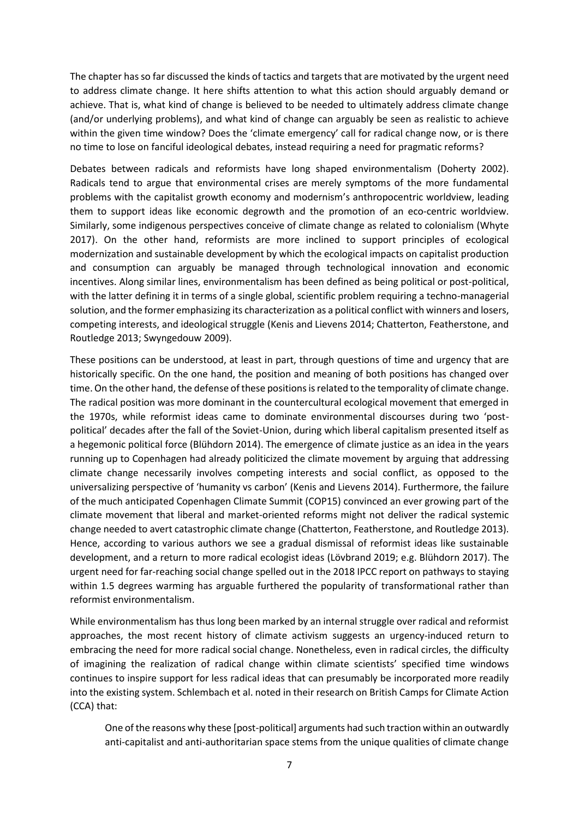The chapter has so far discussed the kinds of tactics and targets that are motivated by the urgent need to address climate change. It here shifts attention to what this action should arguably demand or achieve. That is, what kind of change is believed to be needed to ultimately address climate change (and/or underlying problems), and what kind of change can arguably be seen as realistic to achieve within the given time window? Does the 'climate emergency' call for radical change now, or is there no time to lose on fanciful ideological debates, instead requiring a need for pragmatic reforms?

Debates between radicals and reformists have long shaped environmentalism (Doherty 2002). Radicals tend to argue that environmental crises are merely symptoms of the more fundamental problems with the capitalist growth economy and modernism's anthropocentric worldview, leading them to support ideas like economic degrowth and the promotion of an eco-centric worldview. Similarly, some indigenous perspectives conceive of climate change as related to colonialism (Whyte 2017). On the other hand, reformists are more inclined to support principles of ecological modernization and sustainable development by which the ecological impacts on capitalist production and consumption can arguably be managed through technological innovation and economic incentives. Along similar lines, environmentalism has been defined as being political or post-political, with the latter defining it in terms of a single global, scientific problem requiring a techno-managerial solution, and the former emphasizing its characterization as a political conflict with winners and losers, competing interests, and ideological struggle (Kenis and Lievens 2014; Chatterton, Featherstone, and Routledge 2013; Swyngedouw 2009).

These positions can be understood, at least in part, through questions of time and urgency that are historically specific. On the one hand, the position and meaning of both positions has changed over time. On the other hand, the defense of these positions is related to the temporality of climate change. The radical position was more dominant in the countercultural ecological movement that emerged in the 1970s, while reformist ideas came to dominate environmental discourses during two 'postpolitical' decades after the fall of the Soviet-Union, during which liberal capitalism presented itself as a hegemonic political force (Blühdorn 2014). The emergence of climate justice as an idea in the years running up to Copenhagen had already politicized the climate movement by arguing that addressing climate change necessarily involves competing interests and social conflict, as opposed to the universalizing perspective of 'humanity vs carbon' (Kenis and Lievens 2014). Furthermore, the failure of the much anticipated Copenhagen Climate Summit (COP15) convinced an ever growing part of the climate movement that liberal and market-oriented reforms might not deliver the radical systemic change needed to avert catastrophic climate change (Chatterton, Featherstone, and Routledge 2013). Hence, according to various authors we see a gradual dismissal of reformist ideas like sustainable development, and a return to more radical ecologist ideas (Lövbrand 2019; e.g. Blühdorn 2017). The urgent need for far-reaching social change spelled out in the 2018 IPCC report on pathways to staying within 1.5 degrees warming has arguable furthered the popularity of transformational rather than reformist environmentalism.

While environmentalism has thus long been marked by an internal struggle over radical and reformist approaches, the most recent history of climate activism suggests an urgency-induced return to embracing the need for more radical social change. Nonetheless, even in radical circles, the difficulty of imagining the realization of radical change within climate scientists' specified time windows continues to inspire support for less radical ideas that can presumably be incorporated more readily into the existing system. Schlembach et al. noted in their research on British Camps for Climate Action (CCA) that:

One of the reasons why these [post-political] arguments had such traction within an outwardly anti-capitalist and anti-authoritarian space stems from the unique qualities of climate change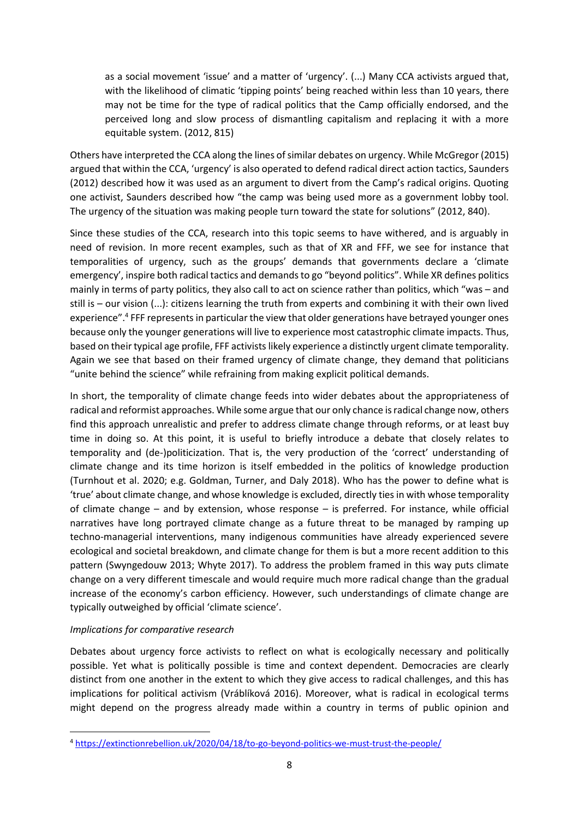as a social movement 'issue' and a matter of 'urgency'. (...) Many CCA activists argued that, with the likelihood of climatic 'tipping points' being reached within less than 10 years, there may not be time for the type of radical politics that the Camp officially endorsed, and the perceived long and slow process of dismantling capitalism and replacing it with a more equitable system. (2012, 815)

Others have interpreted the CCA along the lines of similar debates on urgency. While McGregor (2015) argued that within the CCA, 'urgency' is also operated to defend radical direct action tactics, Saunders (2012) described how it was used as an argument to divert from the Camp's radical origins. Quoting one activist, Saunders described how "the camp was being used more as a government lobby tool. The urgency of the situation was making people turn toward the state for solutions" (2012, 840).

Since these studies of the CCA, research into this topic seems to have withered, and is arguably in need of revision. In more recent examples, such as that of XR and FFF, we see for instance that temporalities of urgency, such as the groups' demands that governments declare a 'climate emergency', inspire both radical tactics and demandsto go "beyond politics". While XR defines politics mainly in terms of party politics, they also call to act on science rather than politics, which "was – and still is – our vision (...): citizens learning the truth from experts and combining it with their own lived experience".<sup>4</sup> FFF represents in particular the view that older generations have betrayed younger ones because only the younger generations will live to experience most catastrophic climate impacts. Thus, based on their typical age profile, FFF activists likely experience a distinctly urgent climate temporality. Again we see that based on their framed urgency of climate change, they demand that politicians "unite behind the science" while refraining from making explicit political demands.

In short, the temporality of climate change feeds into wider debates about the appropriateness of radical and reformist approaches. While some argue that our only chance is radical change now, others find this approach unrealistic and prefer to address climate change through reforms, or at least buy time in doing so. At this point, it is useful to briefly introduce a debate that closely relates to temporality and (de-)politicization. That is, the very production of the 'correct' understanding of climate change and its time horizon is itself embedded in the politics of knowledge production (Turnhout et al. 2020; e.g. Goldman, Turner, and Daly 2018). Who has the power to define what is 'true' about climate change, and whose knowledge is excluded, directly ties in with whose temporality of climate change – and by extension, whose response – is preferred. For instance, while official narratives have long portrayed climate change as a future threat to be managed by ramping up techno-managerial interventions, many indigenous communities have already experienced severe ecological and societal breakdown, and climate change for them is but a more recent addition to this pattern (Swyngedouw 2013; Whyte 2017). To address the problem framed in this way puts climate change on a very different timescale and would require much more radical change than the gradual increase of the economy's carbon efficiency. However, such understandings of climate change are typically outweighed by official 'climate science'.

#### *Implications for comparative research*

1

Debates about urgency force activists to reflect on what is ecologically necessary and politically possible. Yet what is politically possible is time and context dependent. Democracies are clearly distinct from one another in the extent to which they give access to radical challenges, and this has implications for political activism (Vráblíková 2016). Moreover, what is radical in ecological terms might depend on the progress already made within a country in terms of public opinion and

<sup>4</sup> <https://extinctionrebellion.uk/2020/04/18/to-go-beyond-politics-we-must-trust-the-people/>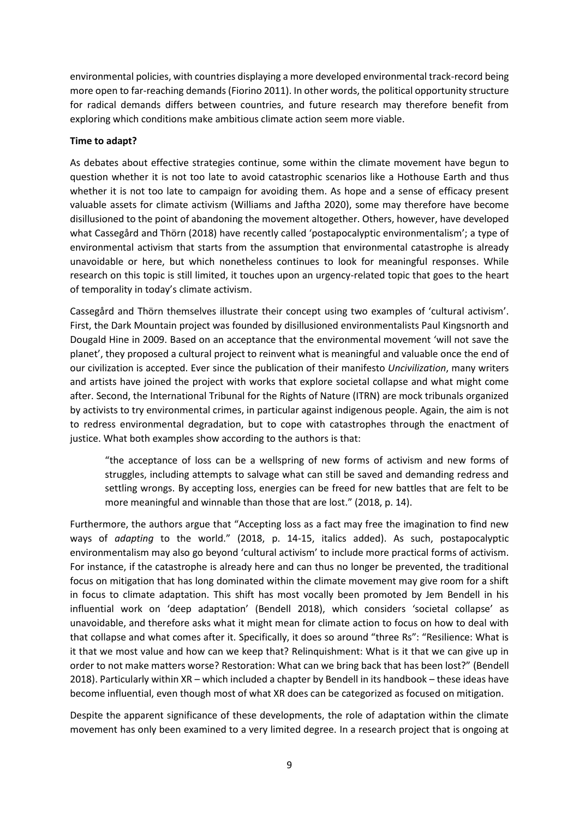environmental policies, with countries displaying a more developed environmental track-record being more open to far-reaching demands (Fiorino 2011). In other words, the political opportunity structure for radical demands differs between countries, and future research may therefore benefit from exploring which conditions make ambitious climate action seem more viable.

#### **Time to adapt?**

As debates about effective strategies continue, some within the climate movement have begun to question whether it is not too late to avoid catastrophic scenarios like a Hothouse Earth and thus whether it is not too late to campaign for avoiding them. As hope and a sense of efficacy present valuable assets for climate activism (Williams and Jaftha 2020), some may therefore have become disillusioned to the point of abandoning the movement altogether. Others, however, have developed what Cassegård and Thörn (2018) have recently called 'postapocalyptic environmentalism'; a type of environmental activism that starts from the assumption that environmental catastrophe is already unavoidable or here, but which nonetheless continues to look for meaningful responses. While research on this topic is still limited, it touches upon an urgency-related topic that goes to the heart of temporality in today's climate activism.

Cassegård and Thörn themselves illustrate their concept using two examples of 'cultural activism'. First, the Dark Mountain project was founded by disillusioned environmentalists Paul Kingsnorth and Dougald Hine in 2009. Based on an acceptance that the environmental movement 'will not save the planet', they proposed a cultural project to reinvent what is meaningful and valuable once the end of our civilization is accepted. Ever since the publication of their manifesto *Uncivilization*, many writers and artists have joined the project with works that explore societal collapse and what might come after. Second, the International Tribunal for the Rights of Nature (ITRN) are mock tribunals organized by activists to try environmental crimes, in particular against indigenous people. Again, the aim is not to redress environmental degradation, but to cope with catastrophes through the enactment of justice. What both examples show according to the authors is that:

"the acceptance of loss can be a wellspring of new forms of activism and new forms of struggles, including attempts to salvage what can still be saved and demanding redress and settling wrongs. By accepting loss, energies can be freed for new battles that are felt to be more meaningful and winnable than those that are lost." (2018, p. 14).

Furthermore, the authors argue that "Accepting loss as a fact may free the imagination to find new ways of *adapting* to the world." (2018, p. 14-15, italics added). As such, postapocalyptic environmentalism may also go beyond 'cultural activism' to include more practical forms of activism. For instance, if the catastrophe is already here and can thus no longer be prevented, the traditional focus on mitigation that has long dominated within the climate movement may give room for a shift in focus to climate adaptation. This shift has most vocally been promoted by Jem Bendell in his influential work on 'deep adaptation' (Bendell 2018), which considers 'societal collapse' as unavoidable, and therefore asks what it might mean for climate action to focus on how to deal with that collapse and what comes after it. Specifically, it does so around "three Rs": "Resilience: What is it that we most value and how can we keep that? Relinquishment: What is it that we can give up in order to not make matters worse? Restoration: What can we bring back that has been lost?" (Bendell 2018). Particularly within XR – which included a chapter by Bendell in its handbook – these ideas have become influential, even though most of what XR does can be categorized as focused on mitigation.

Despite the apparent significance of these developments, the role of adaptation within the climate movement has only been examined to a very limited degree. In a research project that is ongoing at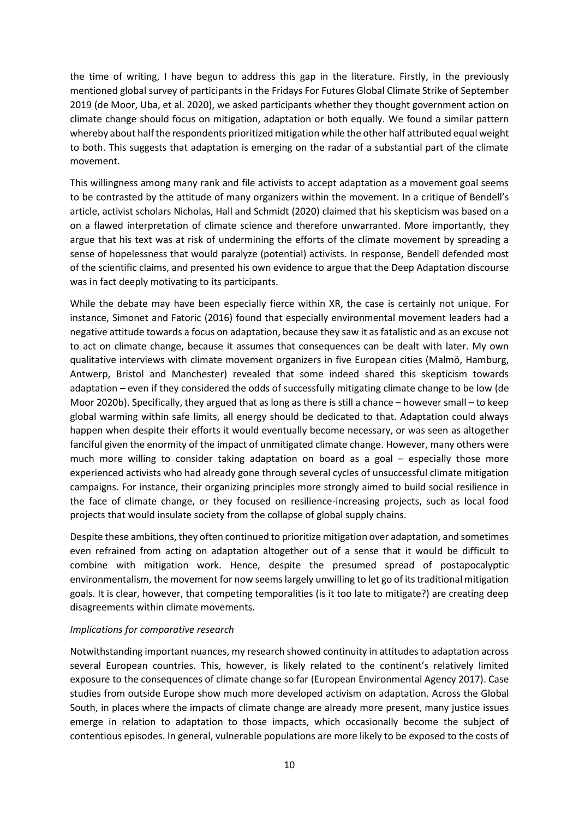the time of writing, I have begun to address this gap in the literature. Firstly, in the previously mentioned global survey of participants in the Fridays For Futures Global Climate Strike of September 2019 (de Moor, Uba, et al. 2020), we asked participants whether they thought government action on climate change should focus on mitigation, adaptation or both equally. We found a similar pattern whereby about half the respondents prioritized mitigation while the other half attributed equal weight to both. This suggests that adaptation is emerging on the radar of a substantial part of the climate movement.

This willingness among many rank and file activists to accept adaptation as a movement goal seems to be contrasted by the attitude of many organizers within the movement. In a critique of Bendell's article, activist scholars Nicholas, Hall and Schmidt (2020) claimed that his skepticism was based on a on a flawed interpretation of climate science and therefore unwarranted. More importantly, they argue that his text was at risk of undermining the efforts of the climate movement by spreading a sense of hopelessness that would paralyze (potential) activists. In response, Bendell defended most of the scientific claims, and presented his own evidence to argue that the Deep Adaptation discourse was in fact deeply motivating to its participants.

While the debate may have been especially fierce within XR, the case is certainly not unique. For instance, Simonet and Fatoric (2016) found that especially environmental movement leaders had a negative attitude towards a focus on adaptation, because they saw it as fatalistic and as an excuse not to act on climate change, because it assumes that consequences can be dealt with later. My own qualitative interviews with climate movement organizers in five European cities (Malmö, Hamburg, Antwerp, Bristol and Manchester) revealed that some indeed shared this skepticism towards adaptation – even if they considered the odds of successfully mitigating climate change to be low (de Moor 2020b). Specifically, they argued that as long as there is still a chance – however small – to keep global warming within safe limits, all energy should be dedicated to that. Adaptation could always happen when despite their efforts it would eventually become necessary, or was seen as altogether fanciful given the enormity of the impact of unmitigated climate change. However, many others were much more willing to consider taking adaptation on board as a goal – especially those more experienced activists who had already gone through several cycles of unsuccessful climate mitigation campaigns. For instance, their organizing principles more strongly aimed to build social resilience in the face of climate change, or they focused on resilience-increasing projects, such as local food projects that would insulate society from the collapse of global supply chains.

Despite these ambitions, they often continued to prioritize mitigation over adaptation, and sometimes even refrained from acting on adaptation altogether out of a sense that it would be difficult to combine with mitigation work. Hence, despite the presumed spread of postapocalyptic environmentalism, the movement for now seems largely unwilling to let go of its traditional mitigation goals. It is clear, however, that competing temporalities (is it too late to mitigate?) are creating deep disagreements within climate movements.

#### *Implications for comparative research*

Notwithstanding important nuances, my research showed continuity in attitudes to adaptation across several European countries. This, however, is likely related to the continent's relatively limited exposure to the consequences of climate change so far (European Environmental Agency 2017). Case studies from outside Europe show much more developed activism on adaptation. Across the Global South, in places where the impacts of climate change are already more present, many justice issues emerge in relation to adaptation to those impacts, which occasionally become the subject of contentious episodes. In general, vulnerable populations are more likely to be exposed to the costs of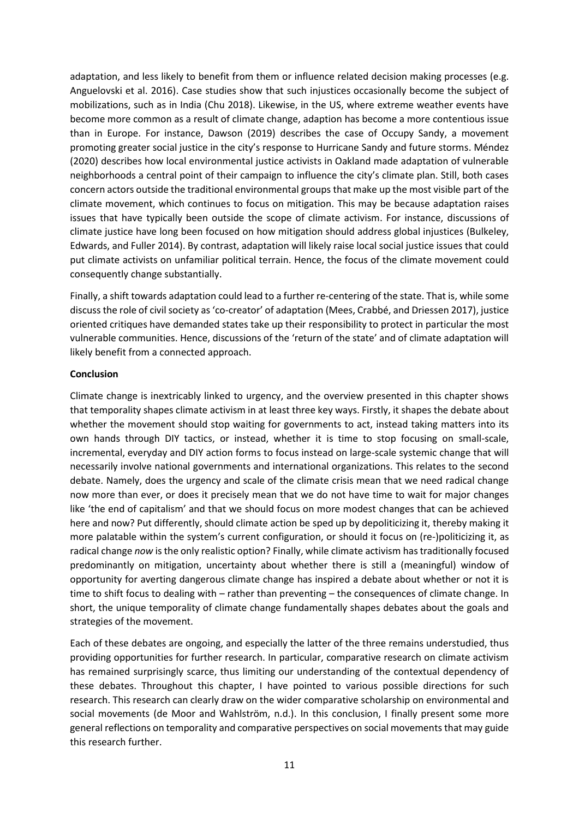adaptation, and less likely to benefit from them or influence related decision making processes (e.g. Anguelovski et al. 2016). Case studies show that such injustices occasionally become the subject of mobilizations, such as in India (Chu 2018). Likewise, in the US, where extreme weather events have become more common as a result of climate change, adaption has become a more contentious issue than in Europe. For instance, Dawson (2019) describes the case of Occupy Sandy, a movement promoting greater social justice in the city's response to Hurricane Sandy and future storms. Méndez (2020) describes how local environmental justice activists in Oakland made adaptation of vulnerable neighborhoods a central point of their campaign to influence the city's climate plan. Still, both cases concern actors outside the traditional environmental groups that make up the most visible part of the climate movement, which continues to focus on mitigation. This may be because adaptation raises issues that have typically been outside the scope of climate activism. For instance, discussions of climate justice have long been focused on how mitigation should address global injustices (Bulkeley, Edwards, and Fuller 2014). By contrast, adaptation will likely raise local social justice issues that could put climate activists on unfamiliar political terrain. Hence, the focus of the climate movement could consequently change substantially.

Finally, a shift towards adaptation could lead to a further re-centering of the state. That is, while some discuss the role of civil society as 'co-creator' of adaptation (Mees, Crabbé, and Driessen 2017), justice oriented critiques have demanded states take up their responsibility to protect in particular the most vulnerable communities. Hence, discussions of the 'return of the state' and of climate adaptation will likely benefit from a connected approach.

#### **Conclusion**

Climate change is inextricably linked to urgency, and the overview presented in this chapter shows that temporality shapes climate activism in at least three key ways. Firstly, it shapes the debate about whether the movement should stop waiting for governments to act, instead taking matters into its own hands through DIY tactics, or instead, whether it is time to stop focusing on small-scale, incremental, everyday and DIY action forms to focus instead on large-scale systemic change that will necessarily involve national governments and international organizations. This relates to the second debate. Namely, does the urgency and scale of the climate crisis mean that we need radical change now more than ever, or does it precisely mean that we do not have time to wait for major changes like 'the end of capitalism' and that we should focus on more modest changes that can be achieved here and now? Put differently, should climate action be sped up by depoliticizing it, thereby making it more palatable within the system's current configuration, or should it focus on (re-)politicizing it, as radical change *now* is the only realistic option? Finally, while climate activism has traditionally focused predominantly on mitigation, uncertainty about whether there is still a (meaningful) window of opportunity for averting dangerous climate change has inspired a debate about whether or not it is time to shift focus to dealing with – rather than preventing – the consequences of climate change. In short, the unique temporality of climate change fundamentally shapes debates about the goals and strategies of the movement.

Each of these debates are ongoing, and especially the latter of the three remains understudied, thus providing opportunities for further research. In particular, comparative research on climate activism has remained surprisingly scarce, thus limiting our understanding of the contextual dependency of these debates. Throughout this chapter, I have pointed to various possible directions for such research. This research can clearly draw on the wider comparative scholarship on environmental and social movements (de Moor and Wahlström, n.d.). In this conclusion, I finally present some more general reflections on temporality and comparative perspectives on social movements that may guide this research further.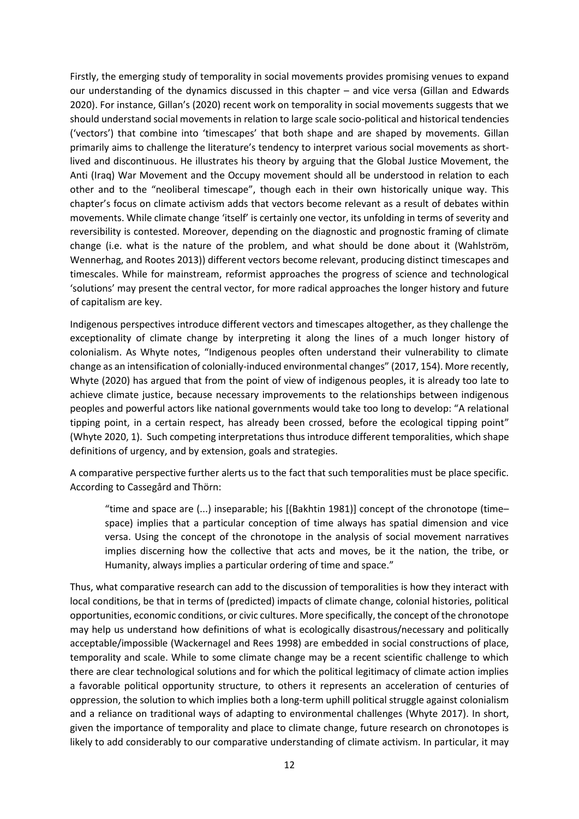Firstly, the emerging study of temporality in social movements provides promising venues to expand our understanding of the dynamics discussed in this chapter – and vice versa (Gillan and Edwards 2020). For instance, Gillan's (2020) recent work on temporality in social movements suggests that we should understand social movements in relation to large scale socio-political and historical tendencies ('vectors') that combine into 'timescapes' that both shape and are shaped by movements. Gillan primarily aims to challenge the literature's tendency to interpret various social movements as shortlived and discontinuous. He illustrates his theory by arguing that the Global Justice Movement, the Anti (Iraq) War Movement and the Occupy movement should all be understood in relation to each other and to the "neoliberal timescape", though each in their own historically unique way. This chapter's focus on climate activism adds that vectors become relevant as a result of debates within movements. While climate change 'itself' is certainly one vector, its unfolding in terms of severity and reversibility is contested. Moreover, depending on the diagnostic and prognostic framing of climate change (i.e. what is the nature of the problem, and what should be done about it (Wahlström, Wennerhag, and Rootes 2013)) different vectors become relevant, producing distinct timescapes and timescales. While for mainstream, reformist approaches the progress of science and technological 'solutions' may present the central vector, for more radical approaches the longer history and future of capitalism are key.

Indigenous perspectives introduce different vectors and timescapes altogether, as they challenge the exceptionality of climate change by interpreting it along the lines of a much longer history of colonialism. As Whyte notes, "Indigenous peoples often understand their vulnerability to climate change as an intensification of colonially-induced environmental changes" (2017, 154). More recently, Whyte (2020) has argued that from the point of view of indigenous peoples, it is already too late to achieve climate justice, because necessary improvements to the relationships between indigenous peoples and powerful actors like national governments would take too long to develop: "A relational tipping point, in a certain respect, has already been crossed, before the ecological tipping point" (Whyte 2020, 1). Such competing interpretations thus introduce different temporalities, which shape definitions of urgency, and by extension, goals and strategies.

A comparative perspective further alerts us to the fact that such temporalities must be place specific. According to Cassegård and Thörn:

"time and space are (...) inseparable; his [(Bakhtin 1981)] concept of the chronotope (time– space) implies that a particular conception of time always has spatial dimension and vice versa. Using the concept of the chronotope in the analysis of social movement narratives implies discerning how the collective that acts and moves, be it the nation, the tribe, or Humanity, always implies a particular ordering of time and space."

Thus, what comparative research can add to the discussion of temporalities is how they interact with local conditions, be that in terms of (predicted) impacts of climate change, colonial histories, political opportunities, economic conditions, or civic cultures. More specifically, the concept of the chronotope may help us understand how definitions of what is ecologically disastrous/necessary and politically acceptable/impossible (Wackernagel and Rees 1998) are embedded in social constructions of place, temporality and scale. While to some climate change may be a recent scientific challenge to which there are clear technological solutions and for which the political legitimacy of climate action implies a favorable political opportunity structure, to others it represents an acceleration of centuries of oppression, the solution to which implies both a long-term uphill political struggle against colonialism and a reliance on traditional ways of adapting to environmental challenges (Whyte 2017). In short, given the importance of temporality and place to climate change, future research on chronotopes is likely to add considerably to our comparative understanding of climate activism. In particular, it may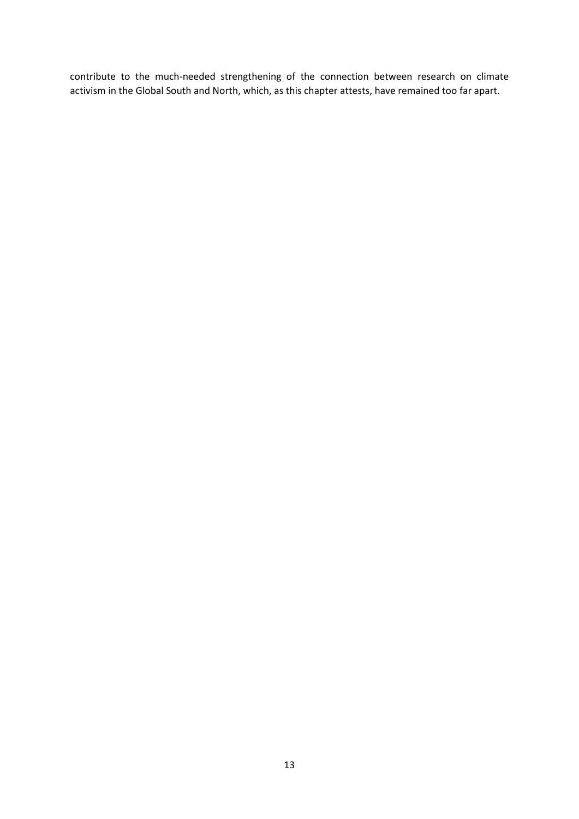contribute to the much-needed strengthening of the connection between research on climate activism in the Global South and North, which, as this chapter attests, have remained too far apart.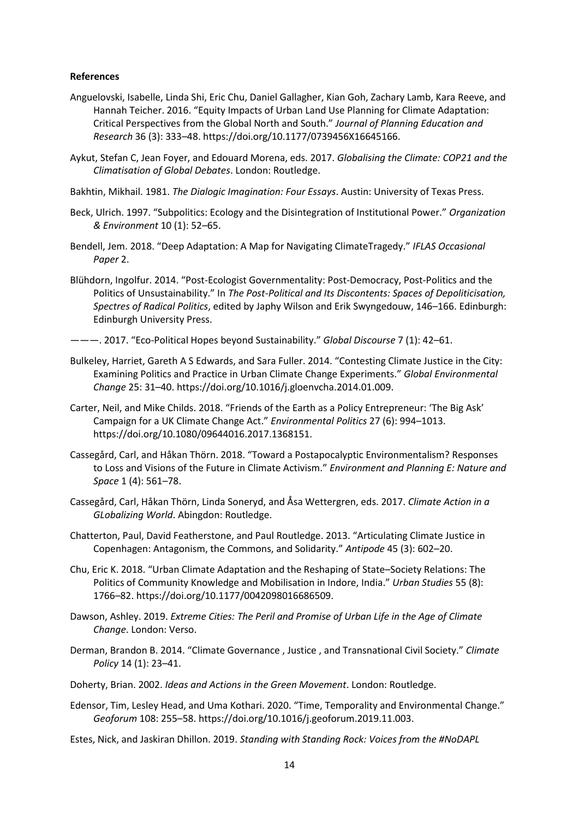#### **References**

- Anguelovski, Isabelle, Linda Shi, Eric Chu, Daniel Gallagher, Kian Goh, Zachary Lamb, Kara Reeve, and Hannah Teicher. 2016. "Equity Impacts of Urban Land Use Planning for Climate Adaptation: Critical Perspectives from the Global North and South." *Journal of Planning Education and Research* 36 (3): 333–48. https://doi.org/10.1177/0739456X16645166.
- Aykut, Stefan C, Jean Foyer, and Edouard Morena, eds. 2017. *Globalising the Climate: COP21 and the Climatisation of Global Debates*. London: Routledge.
- Bakhtin, Mikhail. 1981. *The Dialogic Imagination: Four Essays*. Austin: University of Texas Press.
- Beck, Ulrich. 1997. "Subpolitics: Ecology and the Disintegration of Institutional Power." *Organization & Environment* 10 (1): 52–65.
- Bendell, Jem. 2018. "Deep Adaptation: A Map for Navigating ClimateTragedy." *IFLAS Occasional Paper* 2.
- Blühdorn, Ingolfur. 2014. "Post-Ecologist Governmentality: Post-Democracy, Post-Politics and the Politics of Unsustainability." In *The Post-Political and Its Discontents: Spaces of Depoliticisation, Spectres of Radical Politics*, edited by Japhy Wilson and Erik Swyngedouw, 146–166. Edinburgh: Edinburgh University Press.
- ———. 2017. "Eco-Political Hopes beyond Sustainability." *Global Discourse* 7 (1): 42–61.
- Bulkeley, Harriet, Gareth A S Edwards, and Sara Fuller. 2014. "Contesting Climate Justice in the City: Examining Politics and Practice in Urban Climate Change Experiments." *Global Environmental Change* 25: 31–40. https://doi.org/10.1016/j.gloenvcha.2014.01.009.
- Carter, Neil, and Mike Childs. 2018. "Friends of the Earth as a Policy Entrepreneur: 'The Big Ask' Campaign for a UK Climate Change Act." *Environmental Politics* 27 (6): 994–1013. https://doi.org/10.1080/09644016.2017.1368151.
- Cassegård, Carl, and Håkan Thörn. 2018. "Toward a Postapocalyptic Environmentalism? Responses to Loss and Visions of the Future in Climate Activism." *Environment and Planning E: Nature and Space* 1 (4): 561–78.
- Cassegård, Carl, Håkan Thörn, Linda Soneryd, and Åsa Wettergren, eds. 2017. *Climate Action in a GLobalizing World*. Abingdon: Routledge.
- Chatterton, Paul, David Featherstone, and Paul Routledge. 2013. "Articulating Climate Justice in Copenhagen: Antagonism, the Commons, and Solidarity." *Antipode* 45 (3): 602–20.
- Chu, Eric K. 2018. "Urban Climate Adaptation and the Reshaping of State–Society Relations: The Politics of Community Knowledge and Mobilisation in Indore, India." *Urban Studies* 55 (8): 1766–82. https://doi.org/10.1177/0042098016686509.
- Dawson, Ashley. 2019. *Extreme Cities: The Peril and Promise of Urban Life in the Age of Climate Change*. London: Verso.
- Derman, Brandon B. 2014. "Climate Governance , Justice , and Transnational Civil Society." *Climate Policy* 14 (1): 23–41.
- Doherty, Brian. 2002. *Ideas and Actions in the Green Movement*. London: Routledge.
- Edensor, Tim, Lesley Head, and Uma Kothari. 2020. "Time, Temporality and Environmental Change." *Geoforum* 108: 255–58. https://doi.org/10.1016/j.geoforum.2019.11.003.

Estes, Nick, and Jaskiran Dhillon. 2019. *Standing with Standing Rock: Voices from the #NoDAPL*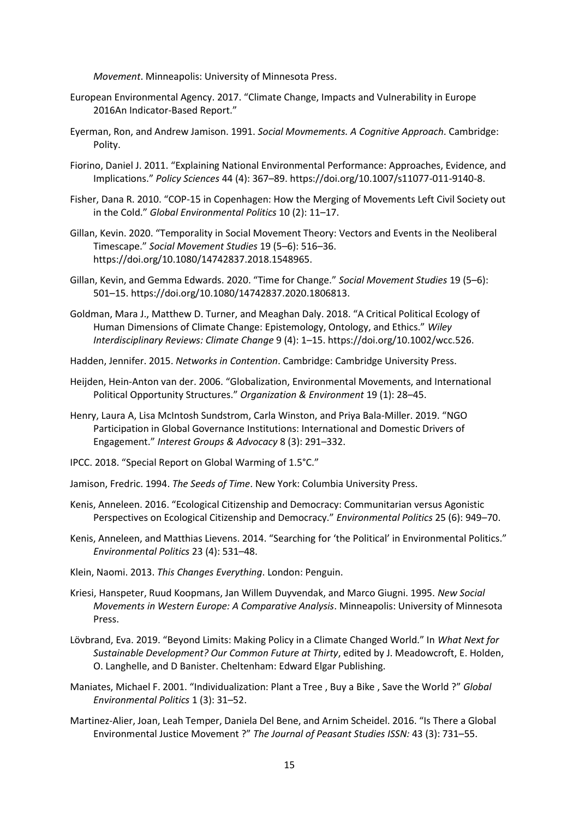*Movement*. Minneapolis: University of Minnesota Press.

- European Environmental Agency. 2017. "Climate Change, Impacts and Vulnerability in Europe 2016An Indicator-Based Report."
- Eyerman, Ron, and Andrew Jamison. 1991. *Social Movmements. A Cognitive Approach*. Cambridge: Polity.
- Fiorino, Daniel J. 2011. "Explaining National Environmental Performance: Approaches, Evidence, and Implications." *Policy Sciences* 44 (4): 367–89. https://doi.org/10.1007/s11077-011-9140-8.
- Fisher, Dana R. 2010. "COP-15 in Copenhagen: How the Merging of Movements Left Civil Society out in the Cold." *Global Environmental Politics* 10 (2): 11–17.
- Gillan, Kevin. 2020. "Temporality in Social Movement Theory: Vectors and Events in the Neoliberal Timescape." *Social Movement Studies* 19 (5–6): 516–36. https://doi.org/10.1080/14742837.2018.1548965.
- Gillan, Kevin, and Gemma Edwards. 2020. "Time for Change." *Social Movement Studies* 19 (5–6): 501–15. https://doi.org/10.1080/14742837.2020.1806813.
- Goldman, Mara J., Matthew D. Turner, and Meaghan Daly. 2018. "A Critical Political Ecology of Human Dimensions of Climate Change: Epistemology, Ontology, and Ethics." *Wiley Interdisciplinary Reviews: Climate Change* 9 (4): 1–15. https://doi.org/10.1002/wcc.526.
- Hadden, Jennifer. 2015. *Networks in Contention*. Cambridge: Cambridge University Press.
- Heijden, Hein-Anton van der. 2006. "Globalization, Environmental Movements, and International Political Opportunity Structures." *Organization & Environment* 19 (1): 28–45.
- Henry, Laura A, Lisa McIntosh Sundstrom, Carla Winston, and Priya Bala-Miller. 2019. "NGO Participation in Global Governance Institutions: International and Domestic Drivers of Engagement." *Interest Groups & Advocacy* 8 (3): 291–332.
- IPCC. 2018. "Special Report on Global Warming of 1.5°C."
- Jamison, Fredric. 1994. *The Seeds of Time*. New York: Columbia University Press.
- Kenis, Anneleen. 2016. "Ecological Citizenship and Democracy: Communitarian versus Agonistic Perspectives on Ecological Citizenship and Democracy." *Environmental Politics* 25 (6): 949–70.
- Kenis, Anneleen, and Matthias Lievens. 2014. "Searching for 'the Political' in Environmental Politics." *Environmental Politics* 23 (4): 531–48.
- Klein, Naomi. 2013. *This Changes Everything*. London: Penguin.
- Kriesi, Hanspeter, Ruud Koopmans, Jan Willem Duyvendak, and Marco Giugni. 1995. *New Social Movements in Western Europe: A Comparative Analysis*. Minneapolis: University of Minnesota Press.
- Lövbrand, Eva. 2019. "Beyond Limits: Making Policy in a Climate Changed World." In *What Next for Sustainable Development? Our Common Future at Thirty*, edited by J. Meadowcroft, E. Holden, O. Langhelle, and D Banister. Cheltenham: Edward Elgar Publishing.
- Maniates, Michael F. 2001. "Individualization: Plant a Tree , Buy a Bike , Save the World ?" *Global Environmental Politics* 1 (3): 31–52.
- Martinez-Alier, Joan, Leah Temper, Daniela Del Bene, and Arnim Scheidel. 2016. "Is There a Global Environmental Justice Movement ?" *The Journal of Peasant Studies ISSN:* 43 (3): 731–55.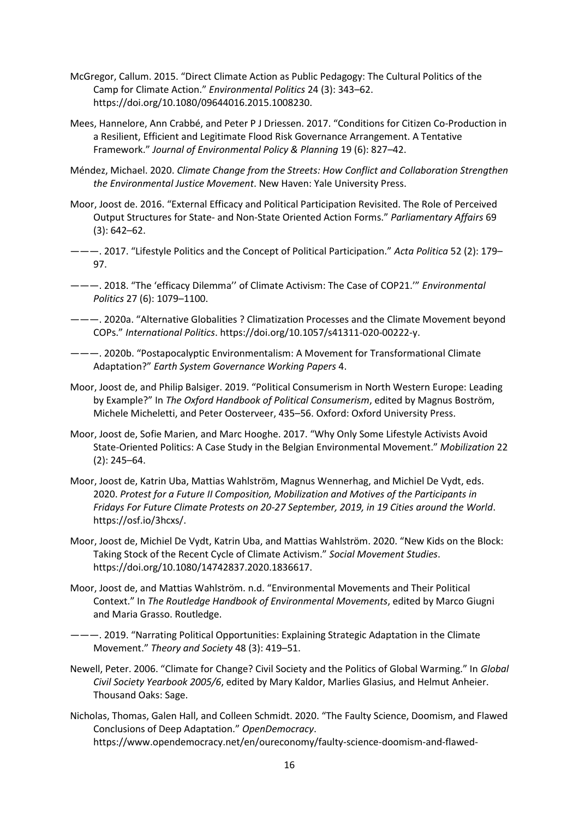- McGregor, Callum. 2015. "Direct Climate Action as Public Pedagogy: The Cultural Politics of the Camp for Climate Action." *Environmental Politics* 24 (3): 343–62. https://doi.org/10.1080/09644016.2015.1008230.
- Mees, Hannelore, Ann Crabbé, and Peter P J Driessen. 2017. "Conditions for Citizen Co-Production in a Resilient, Efficient and Legitimate Flood Risk Governance Arrangement. A Tentative Framework." *Journal of Environmental Policy & Planning* 19 (6): 827–42.
- Méndez, Michael. 2020. *Climate Change from the Streets: How Conflict and Collaboration Strengthen the Environmental Justice Movement*. New Haven: Yale University Press.
- Moor, Joost de. 2016. "External Efficacy and Political Participation Revisited. The Role of Perceived Output Structures for State- and Non-State Oriented Action Forms." *Parliamentary Affairs* 69 (3): 642–62.
- ———. 2017. "Lifestyle Politics and the Concept of Political Participation." *Acta Politica* 52 (2): 179– 97.
- ———. 2018. "The 'efficacy Dilemma'' of Climate Activism: The Case of COP21.'" *Environmental Politics* 27 (6): 1079–1100.
- ———. 2020a. "Alternative Globalities ? Climatization Processes and the Climate Movement beyond COPs." *International Politics*. https://doi.org/10.1057/s41311-020-00222-y.
- ———. 2020b. "Postapocalyptic Environmentalism: A Movement for Transformational Climate Adaptation?" *Earth System Governance Working Papers* 4.
- Moor, Joost de, and Philip Balsiger. 2019. "Political Consumerism in North Western Europe: Leading by Example?" In *The Oxford Handbook of Political Consumerism*, edited by Magnus Boström, Michele Micheletti, and Peter Oosterveer, 435–56. Oxford: Oxford University Press.
- Moor, Joost de, Sofie Marien, and Marc Hooghe. 2017. "Why Only Some Lifestyle Activists Avoid State-Oriented Politics: A Case Study in the Belgian Environmental Movement." *Mobilization* 22 (2): 245–64.
- Moor, Joost de, Katrin Uba, Mattias Wahlström, Magnus Wennerhag, and Michiel De Vydt, eds. 2020. *Protest for a Future II Composition, Mobilization and Motives of the Participants in Fridays For Future Climate Protests on 20-27 September, 2019, in 19 Cities around the World*. https://osf.io/3hcxs/.
- Moor, Joost de, Michiel De Vydt, Katrin Uba, and Mattias Wahlström. 2020. "New Kids on the Block: Taking Stock of the Recent Cycle of Climate Activism." *Social Movement Studies*. https://doi.org/10.1080/14742837.2020.1836617.
- Moor, Joost de, and Mattias Wahlström. n.d. "Environmental Movements and Their Political Context." In *The Routledge Handbook of Environmental Movements*, edited by Marco Giugni and Maria Grasso. Routledge.
- ———. 2019. "Narrating Political Opportunities: Explaining Strategic Adaptation in the Climate Movement." *Theory and Society* 48 (3): 419–51.
- Newell, Peter. 2006. "Climate for Change? Civil Society and the Politics of Global Warming." In *Global Civil Society Yearbook 2005/6*, edited by Mary Kaldor, Marlies Glasius, and Helmut Anheier. Thousand Oaks: Sage.
- Nicholas, Thomas, Galen Hall, and Colleen Schmidt. 2020. "The Faulty Science, Doomism, and Flawed Conclusions of Deep Adaptation." *OpenDemocracy*. https://www.opendemocracy.net/en/oureconomy/faulty-science-doomism-and-flawed-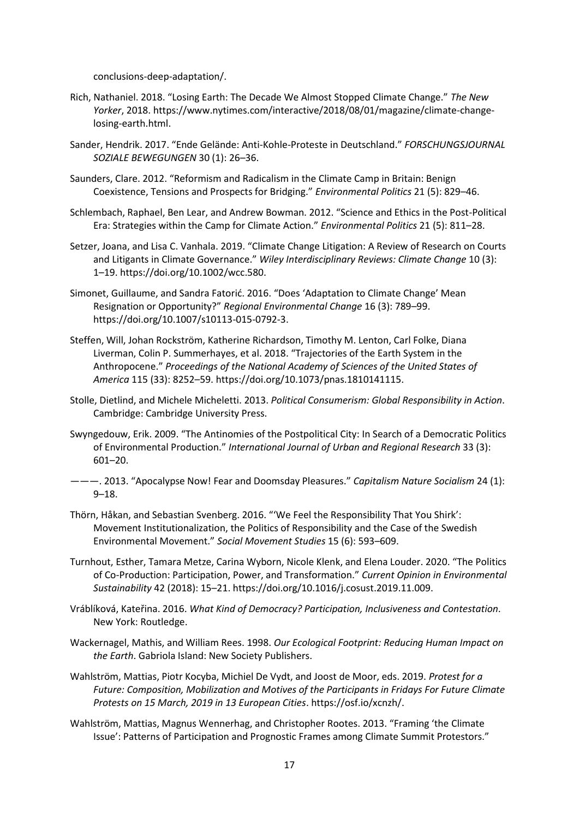conclusions-deep-adaptation/.

- Rich, Nathaniel. 2018. "Losing Earth: The Decade We Almost Stopped Climate Change." *The New Yorker*, 2018. https://www.nytimes.com/interactive/2018/08/01/magazine/climate-changelosing-earth.html.
- Sander, Hendrik. 2017. "Ende Gelände: Anti-Kohle-Proteste in Deutschland." *FORSCHUNGSJOURNAL SOZIALE BEWEGUNGEN* 30 (1): 26–36.
- Saunders, Clare. 2012. "Reformism and Radicalism in the Climate Camp in Britain: Benign Coexistence, Tensions and Prospects for Bridging." *Environmental Politics* 21 (5): 829–46.
- Schlembach, Raphael, Ben Lear, and Andrew Bowman. 2012. "Science and Ethics in the Post-Political Era: Strategies within the Camp for Climate Action." *Environmental Politics* 21 (5): 811–28.
- Setzer, Joana, and Lisa C. Vanhala. 2019. "Climate Change Litigation: A Review of Research on Courts and Litigants in Climate Governance." *Wiley Interdisciplinary Reviews: Climate Change* 10 (3): 1–19. https://doi.org/10.1002/wcc.580.
- Simonet, Guillaume, and Sandra Fatorić. 2016. "Does 'Adaptation to Climate Change' Mean Resignation or Opportunity?" *Regional Environmental Change* 16 (3): 789–99. https://doi.org/10.1007/s10113-015-0792-3.
- Steffen, Will, Johan Rockström, Katherine Richardson, Timothy M. Lenton, Carl Folke, Diana Liverman, Colin P. Summerhayes, et al. 2018. "Trajectories of the Earth System in the Anthropocene." *Proceedings of the National Academy of Sciences of the United States of America* 115 (33): 8252–59. https://doi.org/10.1073/pnas.1810141115.
- Stolle, Dietlind, and Michele Micheletti. 2013. *Political Consumerism: Global Responsibility in Action*. Cambridge: Cambridge University Press.
- Swyngedouw, Erik. 2009. "The Antinomies of the Postpolitical City: In Search of a Democratic Politics of Environmental Production." *International Journal of Urban and Regional Research* 33 (3): 601–20.
- ———. 2013. "Apocalypse Now! Fear and Doomsday Pleasures." *Capitalism Nature Socialism* 24 (1): 9–18.
- Thörn, Håkan, and Sebastian Svenberg. 2016. "'We Feel the Responsibility That You Shirk': Movement Institutionalization, the Politics of Responsibility and the Case of the Swedish Environmental Movement." *Social Movement Studies* 15 (6): 593–609.
- Turnhout, Esther, Tamara Metze, Carina Wyborn, Nicole Klenk, and Elena Louder. 2020. "The Politics of Co-Production: Participation, Power, and Transformation." *Current Opinion in Environmental Sustainability* 42 (2018): 15–21. https://doi.org/10.1016/j.cosust.2019.11.009.
- Vráblíková, Kateřina. 2016. *What Kind of Democracy? Participation, Inclusiveness and Contestation*. New York: Routledge.
- Wackernagel, Mathis, and William Rees. 1998. *Our Ecological Footprint: Reducing Human Impact on the Earth*. Gabriola Island: New Society Publishers.
- Wahlström, Mattias, Piotr Kocyba, Michiel De Vydt, and Joost de Moor, eds. 2019. *Protest for a Future: Composition, Mobilization and Motives of the Participants in Fridays For Future Climate Protests on 15 March, 2019 in 13 European Cities*. https://osf.io/xcnzh/.
- Wahlström, Mattias, Magnus Wennerhag, and Christopher Rootes. 2013. "Framing 'the Climate Issue': Patterns of Participation and Prognostic Frames among Climate Summit Protestors."